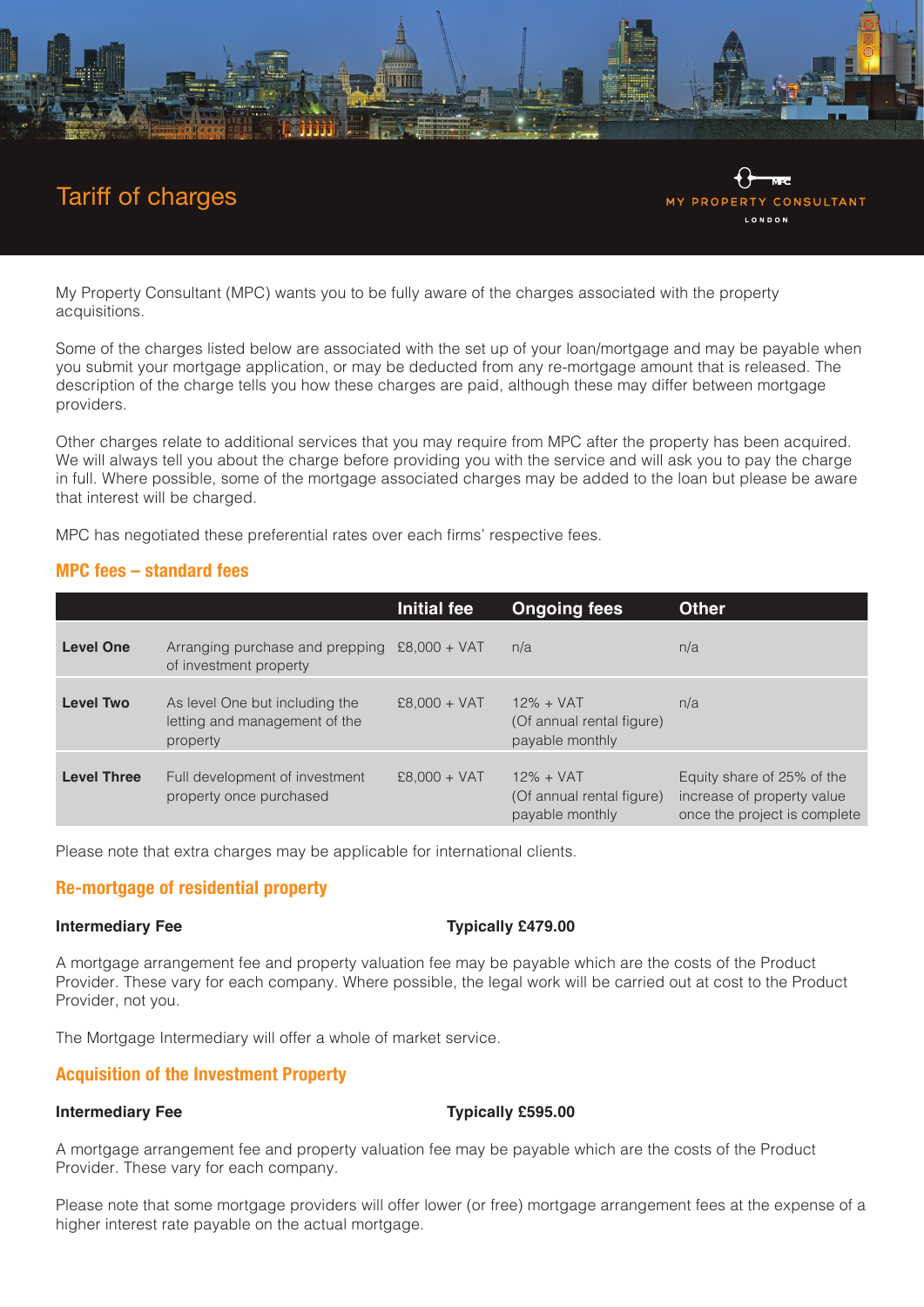

# Tariff of charges



My Property Consultant (MPC) wants you to be fully aware of the charges associated with the property acquisitions.

Some of the charges listed below are associated with the set up of your loan/mortgage and may be payable when you submit your mortgage application, or may be deducted from any re-mortgage amount that is released. The description of the charge tells you how these charges are paid, although these may differ between mortgage providers.

Other charges relate to additional services that you may require from MPC after the property has been acquired. We will always tell you about the charge before providing you with the service and will ask you to pay the charge in full. Where possible, some of the mortgage associated charges may be added to the loan but please be aware that interest will be charged.

MPC has negotiated these preferential rates over each firms' respective fees.

# **MPC fees – standard fees**

|                    |                                                                             | Initial fee    | <b>Ongoing fees</b>                                          | <b>Other</b>                                                                             |
|--------------------|-----------------------------------------------------------------------------|----------------|--------------------------------------------------------------|------------------------------------------------------------------------------------------|
| <b>Level One</b>   | Arranging purchase and prepping $£8,000 + VAT$<br>of investment property    |                | n/a                                                          | n/a                                                                                      |
| <b>Level Two</b>   | As level One but including the<br>letting and management of the<br>property | $£8,000 + VAT$ | $12\% + VAT$<br>(Of annual rental figure)<br>payable monthly | n/a                                                                                      |
| <b>Level Three</b> | Full development of investment<br>property once purchased                   | $£8,000 + VAT$ | $12\% + VAT$<br>(Of annual rental figure)<br>payable monthly | Equity share of 25% of the<br>increase of property value<br>once the project is complete |

Please note that extra charges may be applicable for international clients.

# **Re-mortgage of residential property**

### **Intermediary Fee Typically £479.00**

A mortgage arrangement fee and property valuation fee may be payable which are the costs of the Product Provider. These vary for each company. Where possible, the legal work will be carried out at cost to the Product Provider, not you.

The Mortgage Intermediary will offer a whole of market service.

# **Acquisition of the Investment Property**

### **Intermediary Fee** Typically £595.00

A mortgage arrangement fee and property valuation fee may be payable which are the costs of the Product Provider. These vary for each company.

Please note that some mortgage providers will offer lower (or free) mortgage arrangement fees at the expense of a higher interest rate payable on the actual mortgage.